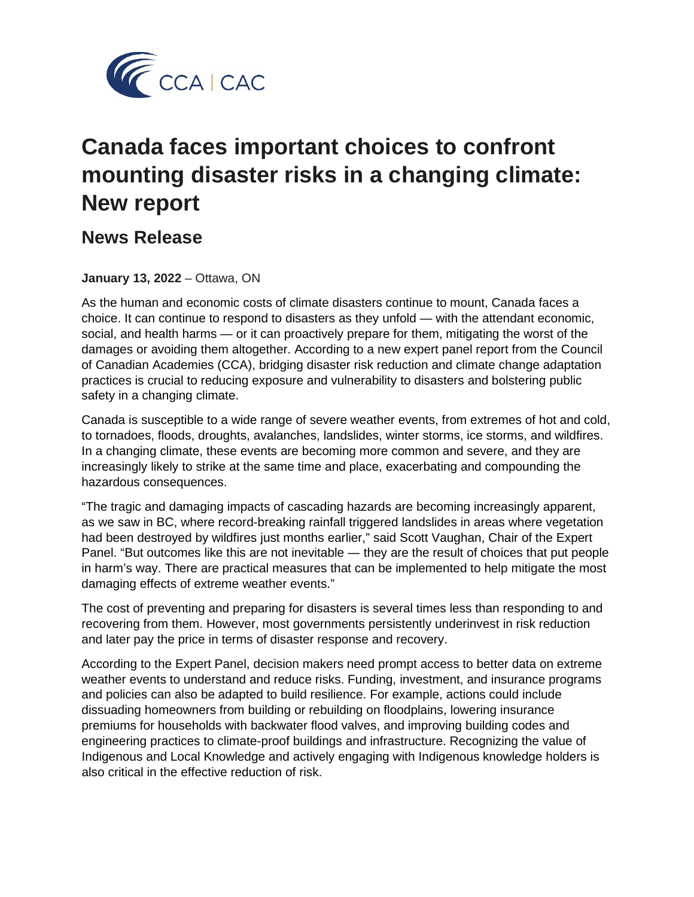

# **Canada faces important choices to confront mounting disaster risks in a changing climate: New report**

# **News Release**

## **January 13, 2022** – Ottawa, ON

As the human and economic costs of climate disasters continue to mount, Canada faces a choice. It can continue to respond to disasters as they unfold — with the attendant economic, social, and health harms — or it can proactively prepare for them, mitigating the worst of the damages or avoiding them altogether. According to a new expert panel report from the Council of Canadian Academies (CCA), bridging disaster risk reduction and climate change adaptation practices is crucial to reducing exposure and vulnerability to disasters and bolstering public safety in a changing climate.

Canada is susceptible to a wide range of severe weather events, from extremes of hot and cold, to tornadoes, floods, droughts, avalanches, landslides, winter storms, ice storms, and wildfires. In a changing climate, these events are becoming more common and severe, and they are increasingly likely to strike at the same time and place, exacerbating and compounding the hazardous consequences.

"The tragic and damaging impacts of cascading hazards are becoming increasingly apparent, as we saw in BC, where record-breaking rainfall triggered landslides in areas where vegetation had been destroyed by wildfires just months earlier," said Scott Vaughan, Chair of the Expert Panel. "But outcomes like this are not inevitable ― they are the result of choices that put people in harm's way. There are practical measures that can be implemented to help mitigate the most damaging effects of extreme weather events."

The cost of preventing and preparing for disasters is several times less than responding to and recovering from them. However, most governments persistently underinvest in risk reduction and later pay the price in terms of disaster response and recovery.

According to the Expert Panel, decision makers need prompt access to better data on extreme weather events to understand and reduce risks. Funding, investment, and insurance programs and policies can also be adapted to build resilience. For example, actions could include dissuading homeowners from building or rebuilding on floodplains, lowering insurance premiums for households with backwater flood valves, and improving building codes and engineering practices to climate-proof buildings and infrastructure. Recognizing the value of Indigenous and Local Knowledge and actively engaging with Indigenous knowledge holders is also critical in the effective reduction of risk.